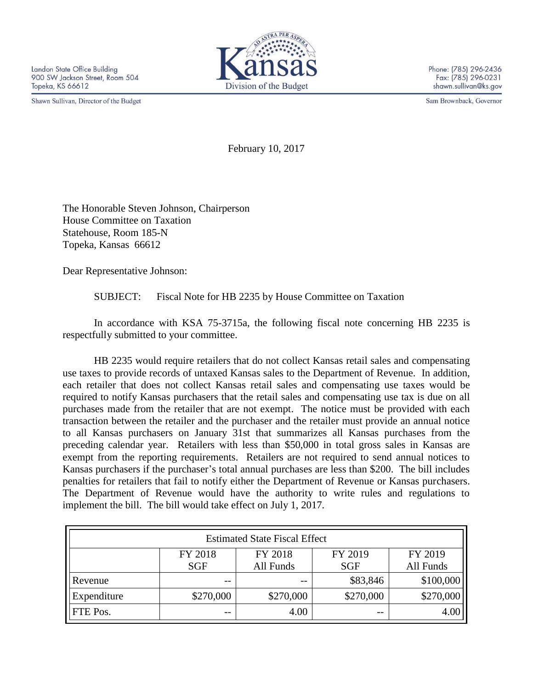Shawn Sullivan, Director of the Budget



Phone: (785) 296-2436 Fax: (785) 296-0231 shawn.sullivan@ks.gov

Sam Brownback, Governor

February 10, 2017

The Honorable Steven Johnson, Chairperson House Committee on Taxation Statehouse, Room 185-N Topeka, Kansas 66612

Dear Representative Johnson:

SUBJECT: Fiscal Note for HB 2235 by House Committee on Taxation

In accordance with KSA 75-3715a, the following fiscal note concerning HB 2235 is respectfully submitted to your committee.

HB 2235 would require retailers that do not collect Kansas retail sales and compensating use taxes to provide records of untaxed Kansas sales to the Department of Revenue. In addition, each retailer that does not collect Kansas retail sales and compensating use taxes would be required to notify Kansas purchasers that the retail sales and compensating use tax is due on all purchases made from the retailer that are not exempt. The notice must be provided with each transaction between the retailer and the purchaser and the retailer must provide an annual notice to all Kansas purchasers on January 31st that summarizes all Kansas purchases from the preceding calendar year. Retailers with less than \$50,000 in total gross sales in Kansas are exempt from the reporting requirements. Retailers are not required to send annual notices to Kansas purchasers if the purchaser's total annual purchases are less than \$200. The bill includes penalties for retailers that fail to notify either the Department of Revenue or Kansas purchasers. The Department of Revenue would have the authority to write rules and regulations to implement the bill. The bill would take effect on July 1, 2017.

| <b>Estimated State Fiscal Effect</b> |            |           |            |                  |
|--------------------------------------|------------|-----------|------------|------------------|
|                                      | FY 2018    | FY 2018   | FY 2019    | FY 2019          |
|                                      | <b>SGF</b> | All Funds | <b>SGF</b> | All Funds        |
| Revenue                              | --         | --        | \$83,846   | \$100,000        |
| Expenditure                          | \$270,000  | \$270,000 | \$270,000  | \$270,000        |
| <b>FTE Pos.</b>                      | $- -$      | 4.00      | $ -$       | 4.0 <sub>C</sub> |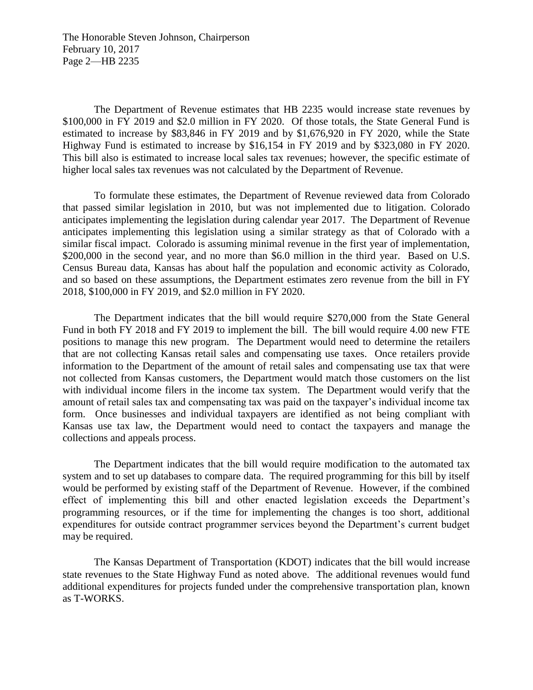The Honorable Steven Johnson, Chairperson February 10, 2017 Page 2—HB 2235

The Department of Revenue estimates that HB 2235 would increase state revenues by \$100,000 in FY 2019 and \$2.0 million in FY 2020. Of those totals, the State General Fund is estimated to increase by \$83,846 in FY 2019 and by \$1,676,920 in FY 2020, while the State Highway Fund is estimated to increase by \$16,154 in FY 2019 and by \$323,080 in FY 2020. This bill also is estimated to increase local sales tax revenues; however, the specific estimate of higher local sales tax revenues was not calculated by the Department of Revenue.

To formulate these estimates, the Department of Revenue reviewed data from Colorado that passed similar legislation in 2010, but was not implemented due to litigation. Colorado anticipates implementing the legislation during calendar year 2017. The Department of Revenue anticipates implementing this legislation using a similar strategy as that of Colorado with a similar fiscal impact. Colorado is assuming minimal revenue in the first year of implementation, \$200,000 in the second year, and no more than \$6.0 million in the third year. Based on U.S. Census Bureau data, Kansas has about half the population and economic activity as Colorado, and so based on these assumptions, the Department estimates zero revenue from the bill in FY 2018, \$100,000 in FY 2019, and \$2.0 million in FY 2020.

The Department indicates that the bill would require \$270,000 from the State General Fund in both FY 2018 and FY 2019 to implement the bill. The bill would require 4.00 new FTE positions to manage this new program. The Department would need to determine the retailers that are not collecting Kansas retail sales and compensating use taxes. Once retailers provide information to the Department of the amount of retail sales and compensating use tax that were not collected from Kansas customers, the Department would match those customers on the list with individual income filers in the income tax system. The Department would verify that the amount of retail sales tax and compensating tax was paid on the taxpayer's individual income tax form. Once businesses and individual taxpayers are identified as not being compliant with Kansas use tax law, the Department would need to contact the taxpayers and manage the collections and appeals process.

The Department indicates that the bill would require modification to the automated tax system and to set up databases to compare data. The required programming for this bill by itself would be performed by existing staff of the Department of Revenue. However, if the combined effect of implementing this bill and other enacted legislation exceeds the Department's programming resources, or if the time for implementing the changes is too short, additional expenditures for outside contract programmer services beyond the Department's current budget may be required.

The Kansas Department of Transportation (KDOT) indicates that the bill would increase state revenues to the State Highway Fund as noted above. The additional revenues would fund additional expenditures for projects funded under the comprehensive transportation plan, known as T-WORKS.